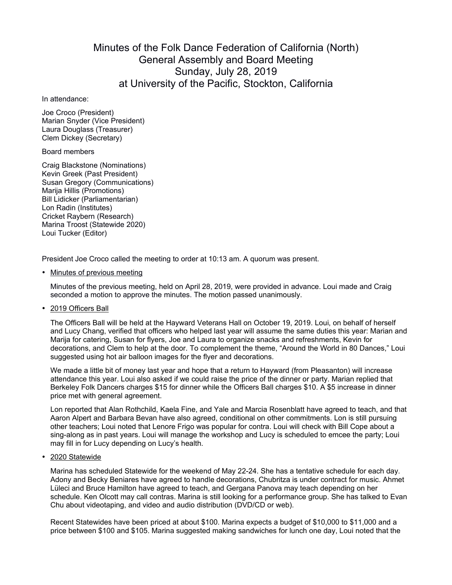# Minutes of the Folk Dance Federation of California (North) General Assembly and Board Meeting Sunday, July 28, 2019 at University of the Pacific, Stockton, California

#### In attendance:

Joe Croco (President) Marian Snyder (Vice President) Laura Douglass (Treasurer) Clem Dickey (Secretary)

### Board members

Craig Blackstone (Nominations) Kevin Greek (Past President) Susan Gregory (Communications) Marija Hillis (Promotions) Bill Lidicker (Parliamentarian) Lon Radin (Institutes) Cricket Raybern (Research) Marina Troost (Statewide 2020) Loui Tucker (Editor)

President Joe Croco called the meeting to order at 10:13 am. A quorum was present.

• Minutes of previous meeting

Minutes of the previous meeting, held on April 28, 2019, were provided in advance. Loui made and Craig seconded a motion to approve the minutes. The motion passed unanimously.

# • 2019 Officers Ball

The Officers Ball will be held at the Hayward Veterans Hall on October 19, 2019. Loui, on behalf of herself and Lucy Chang, verified that officers who helped last year will assume the same duties this year: Marian and Marija for catering, Susan for flyers, Joe and Laura to organize snacks and refreshments, Kevin for decorations, and Clem to help at the door. To complement the theme, "Around the World in 80 Dances," Loui suggested using hot air balloon images for the flyer and decorations.

We made a little bit of money last year and hope that a return to Hayward (from Pleasanton) will increase attendance this year. Loui also asked if we could raise the price of the dinner or party. Marian replied that Berkeley Folk Dancers charges \$15 for dinner while the Officers Ball charges \$10. A \$5 increase in dinner price met with general agreement.

Lon reported that Alan Rothchild, Kaela Fine, and Yale and Marcia Rosenblatt have agreed to teach, and that Aaron Alpert and Barbara Bevan have also agreed, conditional on other commitments. Lon is still pursuing other teachers; Loui noted that Lenore Frigo was popular for contra. Loui will check with Bill Cope about a sing-along as in past years. Loui will manage the workshop and Lucy is scheduled to emcee the party; Loui may fill in for Lucy depending on Lucy's health.

# • 2020 Statewide

Marina has scheduled Statewide for the weekend of May 22-24. She has a tentative schedule for each day. Adony and Becky Beniares have agreed to handle decorations, Chubritza is under contract for music. Ahmet Lüleci and Bruce Hamilton have agreed to teach, and Gergana Panova may teach depending on her schedule. Ken Olcott may call contras. Marina is still looking for a performance group. She has talked to Evan Chu about videotaping, and video and audio distribution (DVD/CD or web).

Recent Statewides have been priced at about \$100. Marina expects a budget of \$10,000 to \$11,000 and a price between \$100 and \$105. Marina suggested making sandwiches for lunch one day, Loui noted that the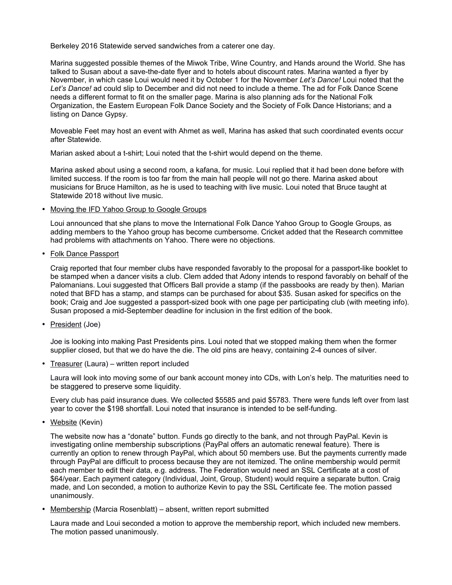Berkeley 2016 Statewide served sandwiches from a caterer one day.

Marina suggested possible themes of the Miwok Tribe, Wine Country, and Hands around the World. She has talked to Susan about a save-the-date flyer and to hotels about discount rates. Marina wanted a flyer by November, in which case Loui would need it by October 1 for the November *Let's Dance!* Loui noted that the *Let's Dance!* ad could slip to December and did not need to include a theme. The ad for Folk Dance Scene needs a different format to fit on the smaller page. Marina is also planning ads for the National Folk Organization, the Eastern European Folk Dance Society and the Society of Folk Dance Historians; and a listing on Dance Gypsy.

Moveable Feet may host an event with Ahmet as well, Marina has asked that such coordinated events occur after Statewide.

Marian asked about a t-shirt; Loui noted that the t-shirt would depend on the theme.

Marina asked about using a second room, a kafana, for music. Loui replied that it had been done before with limited success. If the room is too far from the main hall people will not go there. Marina asked about musicians for Bruce Hamilton, as he is used to teaching with live music. Loui noted that Bruce taught at Statewide 2018 without live music.

• Moving the IFD Yahoo Group to Google Groups

Loui announced that she plans to move the International Folk Dance Yahoo Group to Google Groups, as adding members to the Yahoo group has become cumbersome. Cricket added that the Research committee had problems with attachments on Yahoo. There were no objections.

• Folk Dance Passport

Craig reported that four member clubs have responded favorably to the proposal for a passport-like booklet to be stamped when a dancer visits a club. Clem added that Adony intends to respond favorably on behalf of the Palomanians. Loui suggested that Officers Ball provide a stamp (if the passbooks are ready by then). Marian noted that BFD has a stamp, and stamps can be purchased for about \$35. Susan asked for specifics on the book; Craig and Joe suggested a passport-sized book with one page per participating club (with meeting info). Susan proposed a mid-September deadline for inclusion in the first edition of the book.

• President (Joe)

Joe is looking into making Past Presidents pins. Loui noted that we stopped making them when the former supplier closed, but that we do have the die. The old pins are heavy, containing 2-4 ounces of silver.

• Treasurer (Laura) – written report included

Laura will look into moving some of our bank account money into CDs, with Lon's help. The maturities need to be staggered to preserve some liquidity.

Every club has paid insurance dues. We collected \$5585 and paid \$5783. There were funds left over from last year to cover the \$198 shortfall. Loui noted that insurance is intended to be self-funding.

• Website (Kevin)

The website now has a "donate" button. Funds go directly to the bank, and not through PayPal. Kevin is investigating online membership subscriptions (PayPal offers an automatic renewal feature). There is currently an option to renew through PayPal, which about 50 members use. But the payments currently made through PayPal are difficult to process because they are not itemized. The online membership would permit each member to edit their data, e.g. address. The Federation would need an SSL Certificate at a cost of \$64/year. Each payment category (Individual, Joint, Group, Student) would require a separate button. Craig made, and Lon seconded, a motion to authorize Kevin to pay the SSL Certificate fee. The motion passed unanimously.

• Membership (Marcia Rosenblatt) – absent, written report submitted

Laura made and Loui seconded a motion to approve the membership report, which included new members. The motion passed unanimously.